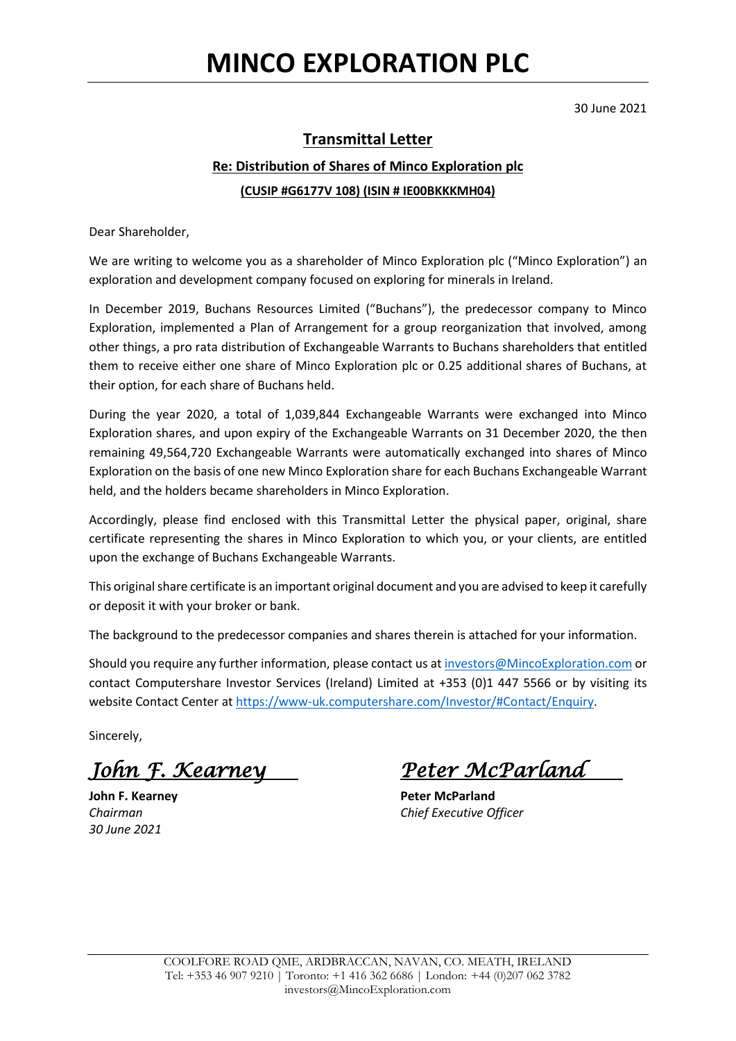30 June 2021

## **Transmittal Letter**

## **Re: Distribution of Shares of Minco Exploration plc (CUSIP #G6177V 108) (ISIN # IE00BKKKMH04)**

Dear Shareholder,

We are writing to welcome you as a shareholder of Minco Exploration plc ("Minco Exploration") an exploration and development company focused on exploring for minerals in Ireland.

In December 2019, Buchans Resources Limited ("Buchans"), the predecessor company to Minco Exploration, implemented a Plan of Arrangement for a group reorganization that involved, among other things, a pro rata distribution of Exchangeable Warrants to Buchans shareholders that entitled them to receive either one share of Minco Exploration plc or 0.25 additional shares of Buchans, at their option, for each share of Buchans held.

During the year 2020, a total of 1,039,844 Exchangeable Warrants were exchanged into Minco Exploration shares, and upon expiry of the Exchangeable Warrants on 31 December 2020, the then remaining 49,564,720 Exchangeable Warrants were automatically exchanged into shares of Minco Exploration on the basis of one new Minco Exploration share for each Buchans Exchangeable Warrant held, and the holders became shareholders in Minco Exploration.

Accordingly, please find enclosed with this Transmittal Letter the physical paper, original, share certificate representing the shares in Minco Exploration to which you, or your clients, are entitled upon the exchange of Buchans Exchangeable Warrants.

This original share certificate is an important original document and you are advised to keep it carefully or deposit it with your broker or bank.

The background to the predecessor companies and shares therein is attached for your information.

Should you require any further information, please contact us a[t investors@MincoExploration.com](mailto:investors@MincoExploration.com) or contact Computershare Investor Services (Ireland) Limited at +353 (0)1 447 5566 or by visiting its website Contact Center at [https://www-uk.computershare.com/Investor/#Contact/Enquiry.](https://www-uk.computershare.com/Investor/#Contact/Enquiry)

Sincerely,

*John F. Kearney Peter McParland* 

*30 June 2021*

**John F. Kearney <b>Peter McParland** *Chairman Chief Executive Officer*